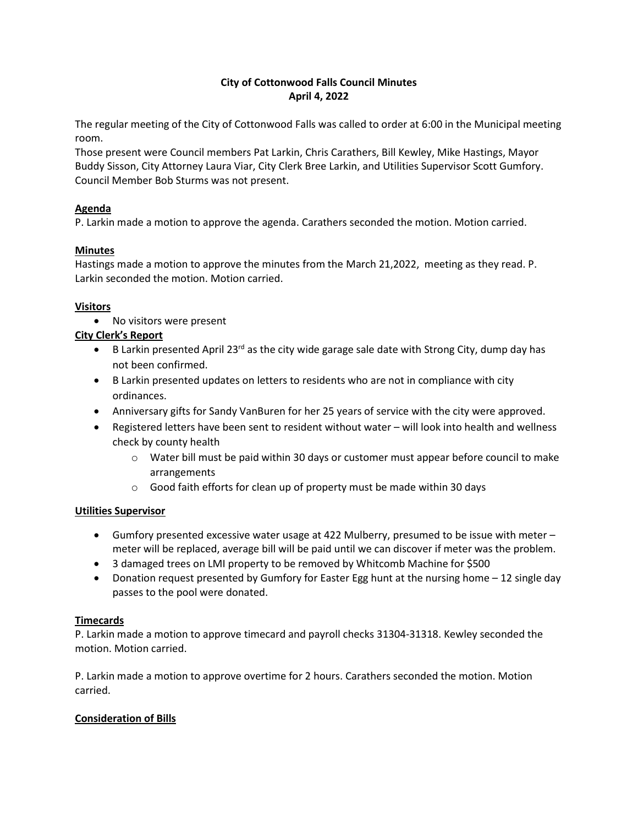# **City of Cottonwood Falls Council Minutes April 4, 2022**

The regular meeting of the City of Cottonwood Falls was called to order at 6:00 in the Municipal meeting room.

Those present were Council members Pat Larkin, Chris Carathers, Bill Kewley, Mike Hastings, Mayor Buddy Sisson, City Attorney Laura Viar, City Clerk Bree Larkin, and Utilities Supervisor Scott Gumfory. Council Member Bob Sturms was not present.

# **Agenda**

P. Larkin made a motion to approve the agenda. Carathers seconded the motion. Motion carried.

# **Minutes**

Hastings made a motion to approve the minutes from the March 21,2022, meeting as they read. P. Larkin seconded the motion. Motion carried.

#### **Visitors**

• No visitors were present

# **City Clerk's Report**

- B Larkin presented April 23<sup>rd</sup> as the city wide garage sale date with Strong City, dump day has not been confirmed.
- B Larkin presented updates on letters to residents who are not in compliance with city ordinances.
- Anniversary gifts for Sandy VanBuren for her 25 years of service with the city were approved.
- Registered letters have been sent to resident without water will look into health and wellness check by county health
	- $\circ$  Water bill must be paid within 30 days or customer must appear before council to make arrangements
	- o Good faith efforts for clean up of property must be made within 30 days

# **Utilities Supervisor**

- Gumfory presented excessive water usage at 422 Mulberry, presumed to be issue with meter meter will be replaced, average bill will be paid until we can discover if meter was the problem.
- 3 damaged trees on LMI property to be removed by Whitcomb Machine for \$500
- Donation request presented by Gumfory for Easter Egg hunt at the nursing home 12 single day passes to the pool were donated.

#### **Timecards**

P. Larkin made a motion to approve timecard and payroll checks 31304-31318. Kewley seconded the motion. Motion carried.

P. Larkin made a motion to approve overtime for 2 hours. Carathers seconded the motion. Motion carried.

# **Consideration of Bills**